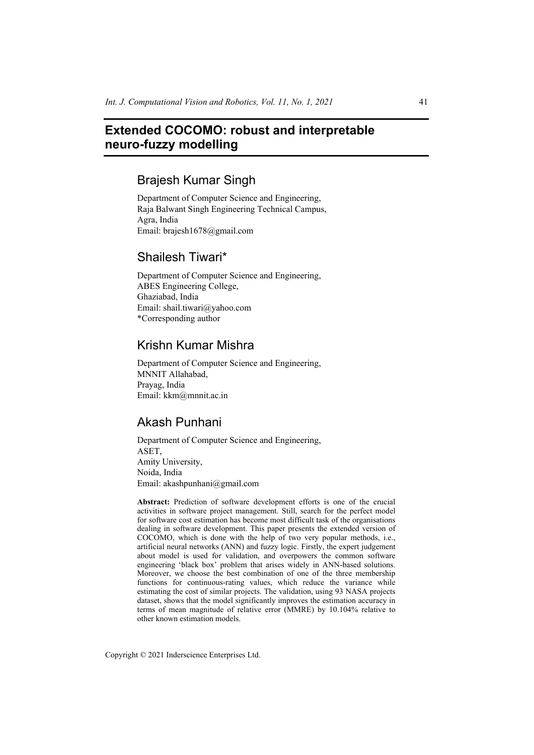# **Extended COCOMO: robust and interpretable neuro-fuzzy modelling**

# Brajesh Kumar Singh

Department of Computer Science and Engineering, Raja Balwant Singh Engineering Technical Campus, Agra, India Email: brajesh1678@gmail.com

# Shailesh Tiwari\*

Department of Computer Science and Engineering, ABES Engineering College, Ghaziabad, India Email: shail.tiwari@yahoo.com \*Corresponding author

# Krishn Kumar Mishra

Department of Computer Science and Engineering, MNNIT Allahabad, Prayag, India Email: kkm@mnnit.ac.in

# Akash Punhani

Department of Computer Science and Engineering, ASET, Amity University, Noida, India Email: akashpunhani@gmail.com

**Abstract:** Prediction of software development efforts is one of the crucial activities in software project management. Still, search for the perfect model for software cost estimation has become most difficult task of the organisations dealing in software development. This paper presents the extended version of COCOMO, which is done with the help of two very popular methods, i.e., artificial neural networks (ANN) and fuzzy logic. Firstly, the expert judgement about model is used for validation, and overpowers the common software engineering 'black box' problem that arises widely in ANN-based solutions. Moreover, we choose the best combination of one of the three membership functions for continuous-rating values, which reduce the variance while estimating the cost of similar projects. The validation, using 93 NASA projects dataset, shows that the model significantly improves the estimation accuracy in terms of mean magnitude of relative error (MMRE) by 10.104% relative to other known estimation models.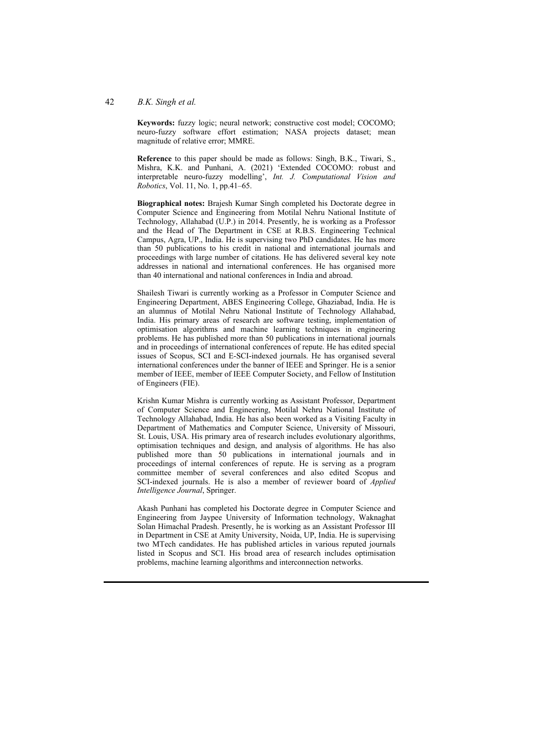#### 42 *B.K. Singh et al.*

**Keywords:** fuzzy logic; neural network; constructive cost model; COCOMO; neuro-fuzzy software effort estimation; NASA projects dataset; mean magnitude of relative error; MMRE.

**Reference** to this paper should be made as follows: Singh, B.K., Tiwari, S., Mishra, K.K. and Punhani, A. (2021) 'Extended COCOMO: robust and interpretable neuro-fuzzy modelling', *Int. J. Computational Vision and Robotics*, Vol. 11, No. 1, pp.41–65.

**Biographical notes:** Brajesh Kumar Singh completed his Doctorate degree in Computer Science and Engineering from Motilal Nehru National Institute of Technology, Allahabad (U.P.) in 2014. Presently, he is working as a Professor and the Head of The Department in CSE at R.B.S. Engineering Technical Campus, Agra, UP., India. He is supervising two PhD candidates. He has more than 50 publications to his credit in national and international journals and proceedings with large number of citations. He has delivered several key note addresses in national and international conferences. He has organised more than 40 international and national conferences in India and abroad.

Shailesh Tiwari is currently working as a Professor in Computer Science and Engineering Department, ABES Engineering College, Ghaziabad, India. He is an alumnus of Motilal Nehru National Institute of Technology Allahabad, India. His primary areas of research are software testing, implementation of optimisation algorithms and machine learning techniques in engineering problems. He has published more than 50 publications in international journals and in proceedings of international conferences of repute. He has edited special issues of Scopus, SCI and E-SCI-indexed journals. He has organised several international conferences under the banner of IEEE and Springer. He is a senior member of IEEE, member of IEEE Computer Society, and Fellow of Institution of Engineers (FIE).

Krishn Kumar Mishra is currently working as Assistant Professor, Department of Computer Science and Engineering, Motilal Nehru National Institute of Technology Allahabad, India. He has also been worked as a Visiting Faculty in Department of Mathematics and Computer Science, University of Missouri, St. Louis, USA. His primary area of research includes evolutionary algorithms, optimisation techniques and design, and analysis of algorithms. He has also published more than 50 publications in international journals and in proceedings of internal conferences of repute. He is serving as a program committee member of several conferences and also edited Scopus and SCI-indexed journals. He is also a member of reviewer board of *Applied Intelligence Journal*, Springer.

Akash Punhani has completed his Doctorate degree in Computer Science and Engineering from Jaypee University of Information technology, Waknaghat Solan Himachal Pradesh. Presently, he is working as an Assistant Professor III in Department in CSE at Amity University, Noida, UP, India. He is supervising two MTech candidates. He has published articles in various reputed journals listed in Scopus and SCI. His broad area of research includes optimisation problems, machine learning algorithms and interconnection networks.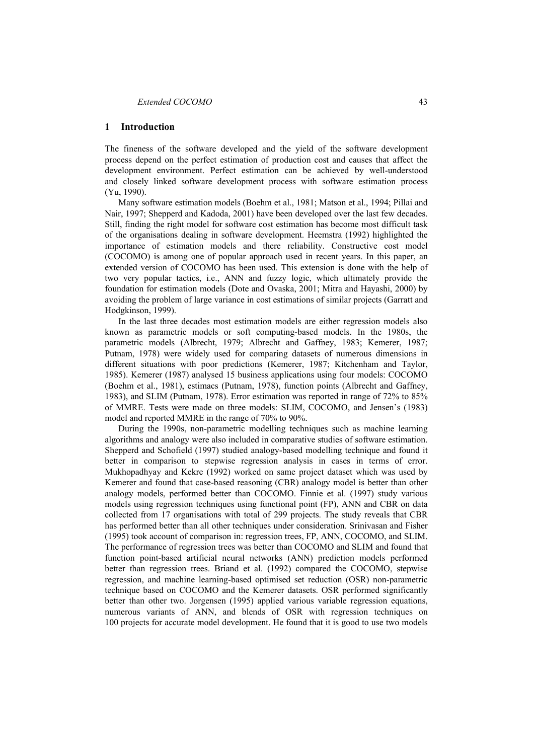#### **1 Introduction**

The fineness of the software developed and the yield of the software development process depend on the perfect estimation of production cost and causes that affect the development environment. Perfect estimation can be achieved by well-understood and closely linked software development process with software estimation process (Yu, 1990).

Many software estimation models (Boehm et al., 1981; Matson et al., 1994; Pillai and Nair, 1997; Shepperd and Kadoda, 2001) have been developed over the last few decades. Still, finding the right model for software cost estimation has become most difficult task of the organisations dealing in software development. Heemstra (1992) highlighted the importance of estimation models and there reliability. Constructive cost model (COCOMO) is among one of popular approach used in recent years. In this paper, an extended version of COCOMO has been used. This extension is done with the help of two very popular tactics, i.e., ANN and fuzzy logic, which ultimately provide the foundation for estimation models (Dote and Ovaska, 2001; Mitra and Hayashi, 2000) by avoiding the problem of large variance in cost estimations of similar projects (Garratt and Hodgkinson, 1999).

In the last three decades most estimation models are either regression models also known as parametric models or soft computing-based models. In the 1980s, the parametric models (Albrecht, 1979; Albrecht and Gaffney, 1983; Kemerer, 1987; Putnam, 1978) were widely used for comparing datasets of numerous dimensions in different situations with poor predictions (Kemerer, 1987; Kitchenham and Taylor, 1985). Kemerer (1987) analysed 15 business applications using four models: COCOMO (Boehm et al., 1981), estimacs (Putnam, 1978), function points (Albrecht and Gaffney, 1983), and SLIM (Putnam, 1978). Error estimation was reported in range of 72% to 85% of MMRE. Tests were made on three models: SLIM, COCOMO, and Jensen's (1983) model and reported MMRE in the range of 70% to 90%.

During the 1990s, non-parametric modelling techniques such as machine learning algorithms and analogy were also included in comparative studies of software estimation. Shepperd and Schofield (1997) studied analogy-based modelling technique and found it better in comparison to stepwise regression analysis in cases in terms of error. Mukhopadhyay and Kekre (1992) worked on same project dataset which was used by Kemerer and found that case-based reasoning (CBR) analogy model is better than other analogy models, performed better than COCOMO. Finnie et al. (1997) study various models using regression techniques using functional point (FP), ANN and CBR on data collected from 17 organisations with total of 299 projects. The study reveals that CBR has performed better than all other techniques under consideration. Srinivasan and Fisher (1995) took account of comparison in: regression trees, FP, ANN, COCOMO, and SLIM. The performance of regression trees was better than COCOMO and SLIM and found that function point-based artificial neural networks (ANN) prediction models performed better than regression trees. Briand et al. (1992) compared the COCOMO, stepwise regression, and machine learning-based optimised set reduction (OSR) non-parametric technique based on COCOMO and the Kemerer datasets. OSR performed significantly better than other two. Jorgensen (1995) applied various variable regression equations, numerous variants of ANN, and blends of OSR with regression techniques on 100 projects for accurate model development. He found that it is good to use two models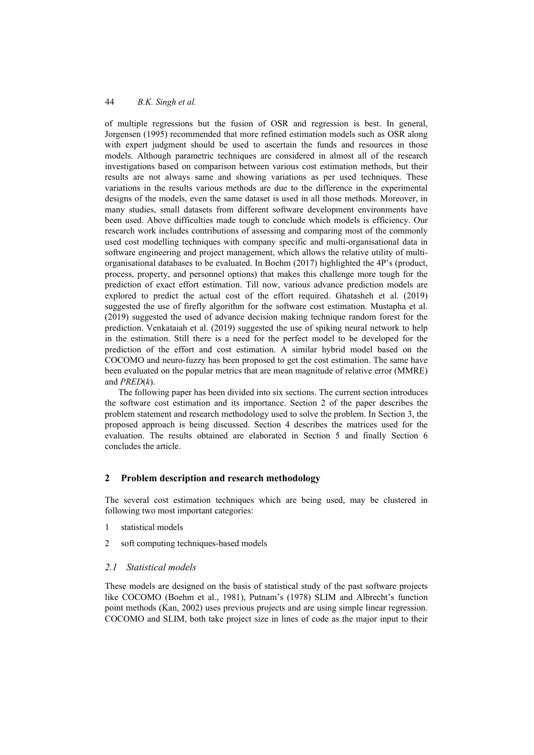of multiple regressions but the fusion of OSR and regression is best. In general, Jorgensen (1995) recommended that more refined estimation models such as OSR along with expert judgment should be used to ascertain the funds and resources in those models. Although parametric techniques are considered in almost all of the research investigations based on comparison between various cost estimation methods, but their results are not always same and showing variations as per used techniques. These variations in the results various methods are due to the difference in the experimental designs of the models, even the same dataset is used in all those methods. Moreover, in many studies, small datasets from different software development environments have been used. Above difficulties made tough to conclude which models is efficiency. Our research work includes contributions of assessing and comparing most of the commonly used cost modelling techniques with company specific and multi-organisational data in software engineering and project management, which allows the relative utility of multiorganisational databases to be evaluated. In Boehm (2017) highlighted the 4P's (product, process, property, and personnel options) that makes this challenge more tough for the prediction of exact effort estimation. Till now, various advance prediction models are explored to predict the actual cost of the effort required. Ghatasheh et al. (2019) suggested the use of firefly algorithm for the software cost estimation. Mustapha et al. (2019) suggested the used of advance decision making technique random forest for the prediction. Venkataiah et al. (2019) suggested the use of spiking neural network to help in the estimation. Still there is a need for the perfect model to be developed for the prediction of the effort and cost estimation. A similar hybrid model based on the COCOMO and neuro-fuzzy has been proposed to get the cost estimation. The same have been evaluated on the popular metrics that are mean magnitude of relative error (MMRE) and *PRED*(*k*).

The following paper has been divided into six sections. The current section introduces the software cost estimation and its importance. Section 2 of the paper describes the problem statement and research methodology used to solve the problem. In Section 3, the proposed approach is being discussed. Section 4 describes the matrices used for the evaluation. The results obtained are elaborated in Section 5 and finally Section 6 concludes the article.

# **2 Problem description and research methodology**

The several cost estimation techniques which are being used, may be clustered in following two most important categories:

- 1 statistical models
- 2 soft computing techniques-based models

## *2.1 Statistical models*

These models are designed on the basis of statistical study of the past software projects like COCOMO (Boehm et al., 1981), Putnam's (1978) SLIM and Albrecht's function point methods (Kan, 2002) uses previous projects and are using simple linear regression. COCOMO and SLIM, both take project size in lines of code as the major input to their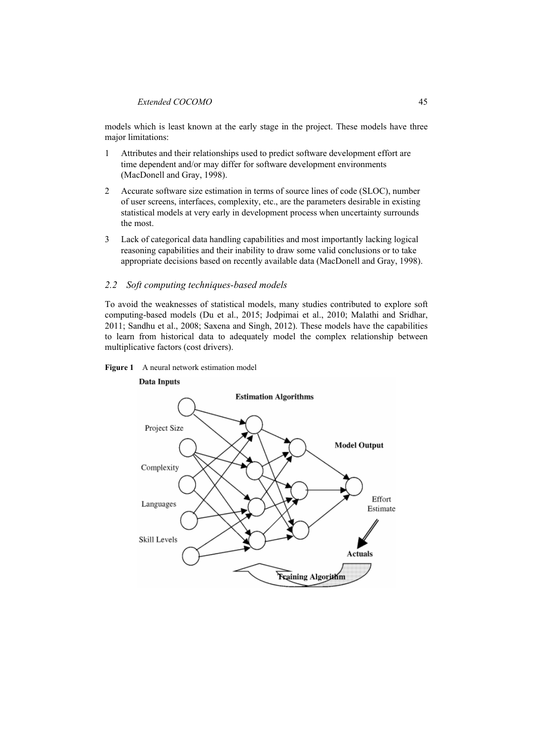models which is least known at the early stage in the project. These models have three major limitations:

- 1 Attributes and their relationships used to predict software development effort are time dependent and/or may differ for software development environments (MacDonell and Gray, 1998).
- 2 Accurate software size estimation in terms of source lines of code (SLOC), number of user screens, interfaces, complexity, etc., are the parameters desirable in existing statistical models at very early in development process when uncertainty surrounds the most.
- 3 Lack of categorical data handling capabilities and most importantly lacking logical reasoning capabilities and their inability to draw some valid conclusions or to take appropriate decisions based on recently available data (MacDonell and Gray, 1998).

# *2.2 Soft computing techniques-based models*

To avoid the weaknesses of statistical models, many studies contributed to explore soft computing-based models (Du et al., 2015; Jodpimai et al., 2010; Malathi and Sridhar, 2011; Sandhu et al., 2008; Saxena and Singh, 2012). These models have the capabilities to learn from historical data to adequately model the complex relationship between multiplicative factors (cost drivers).

## Figure 1 A neural network estimation model



# **Data Inputs**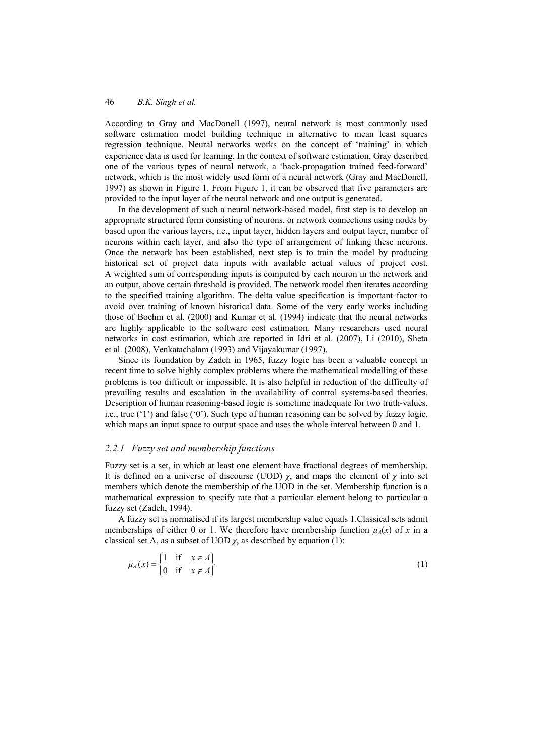According to Gray and MacDonell (1997), neural network is most commonly used software estimation model building technique in alternative to mean least squares regression technique. Neural networks works on the concept of 'training' in which experience data is used for learning. In the context of software estimation, Gray described one of the various types of neural network, a 'back-propagation trained feed-forward' network, which is the most widely used form of a neural network (Gray and MacDonell, 1997) as shown in Figure 1. From Figure 1, it can be observed that five parameters are provided to the input layer of the neural network and one output is generated.

In the development of such a neural network-based model, first step is to develop an appropriate structured form consisting of neurons, or network connections using nodes by based upon the various layers, i.e., input layer, hidden layers and output layer, number of neurons within each layer, and also the type of arrangement of linking these neurons. Once the network has been established, next step is to train the model by producing historical set of project data inputs with available actual values of project cost. A weighted sum of corresponding inputs is computed by each neuron in the network and an output, above certain threshold is provided. The network model then iterates according to the specified training algorithm. The delta value specification is important factor to avoid over training of known historical data. Some of the very early works including those of Boehm et al. (2000) and Kumar et al. (1994) indicate that the neural networks are highly applicable to the software cost estimation. Many researchers used neural networks in cost estimation, which are reported in Idri et al. (2007), Li (2010), Sheta et al. (2008), Venkatachalam (1993) and Vijayakumar (1997).

Since its foundation by Zadeh in 1965, fuzzy logic has been a valuable concept in recent time to solve highly complex problems where the mathematical modelling of these problems is too difficult or impossible. It is also helpful in reduction of the difficulty of prevailing results and escalation in the availability of control systems-based theories. Description of human reasoning-based logic is sometime inadequate for two truth-values, i.e., true ('1') and false ('0'). Such type of human reasoning can be solved by fuzzy logic, which maps an input space to output space and uses the whole interval between 0 and 1.

#### *2.2.1 Fuzzy set and membership functions*

Fuzzy set is a set, in which at least one element have fractional degrees of membership. It is defined on a universe of discourse (UOD)  $\chi$ , and maps the element of  $\chi$  into set members which denote the membership of the UOD in the set. Membership function is a mathematical expression to specify rate that a particular element belong to particular a fuzzy set (Zadeh, 1994).

A fuzzy set is normalised if its largest membership value equals 1.Classical sets admit memberships of either 0 or 1. We therefore have membership function  $\mu_A(x)$  of x in a classical set A, as a subset of UOD  $\chi$ , as described by equation (1):

$$
\mu_A(x) = \begin{cases} 1 & \text{if } x \in A \\ 0 & \text{if } x \notin A \end{cases}
$$
 (1)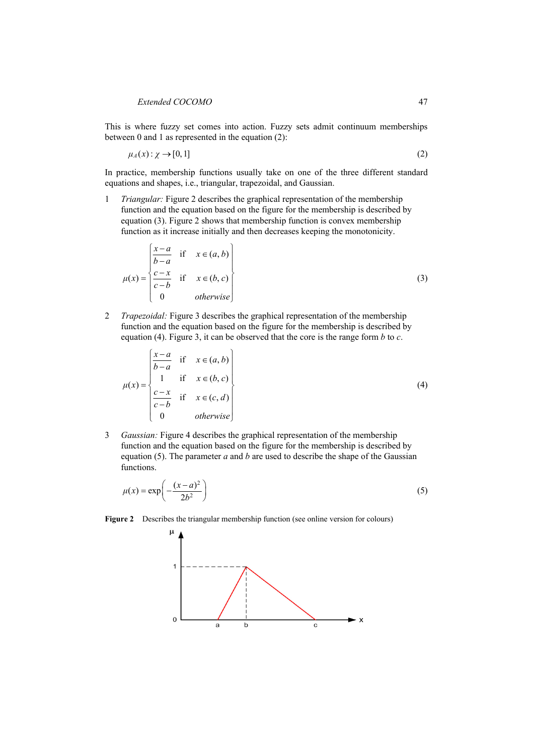This is where fuzzy set comes into action. Fuzzy sets admit continuum memberships between 0 and 1 as represented in the equation (2):

$$
\mu_A(x) : \chi \to [0,1] \tag{2}
$$

In practice, membership functions usually take on one of the three different standard equations and shapes, i.e., triangular, trapezoidal, and Gaussian.

1 *Triangular:* Figure 2 describes the graphical representation of the membership function and the equation based on the figure for the membership is described by equation (3). Figure 2 shows that membership function is convex membership function as it increase initially and then decreases keeping the monotonicity.

$$
\mu(x) = \begin{cases}\n\frac{x-a}{b-a} & \text{if } x \in (a, b) \\
\frac{c-x}{c-b} & \text{if } x \in (b, c) \\
0 & \text{otherwise}\n\end{cases}
$$
\n(3)

2 *Trapezoidal:* Figure 3 describes the graphical representation of the membership function and the equation based on the figure for the membership is described by equation (4). Figure 3, it can be observed that the core is the range form *b* to *c*.

$$
\mu(x) = \begin{cases}\n\frac{x-a}{b-a} & \text{if } x \in (a, b) \\
1 & \text{if } x \in (b, c) \\
\frac{c-x}{c-b} & \text{if } x \in (c, d) \\
0 & \text{otherwise}\n\end{cases}
$$
\n(4)

3 *Gaussian:* Figure 4 describes the graphical representation of the membership function and the equation based on the figure for the membership is described by equation (5). The parameter *a* and *b* are used to describe the shape of the Gaussian functions.

$$
\mu(x) = \exp\left(-\frac{(x-a)^2}{2b^2}\right) \tag{5}
$$

**Figure 2** Describes the triangular membership function (see online version for colours)

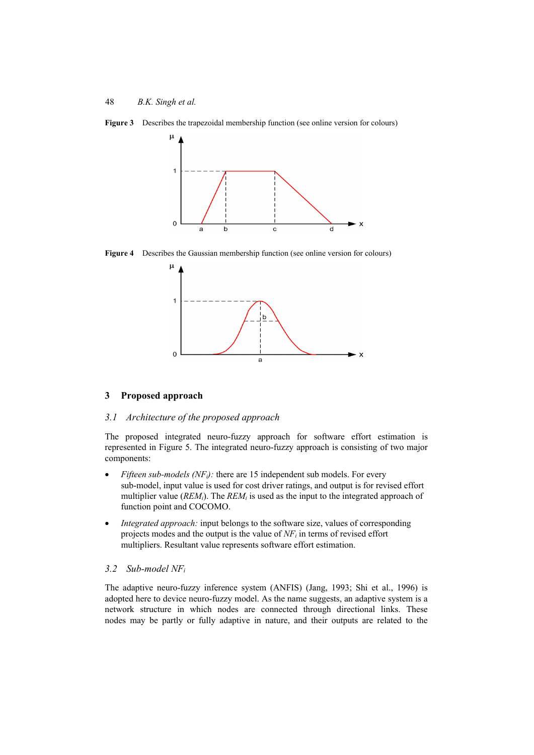



**Figure 4** Describes the Gaussian membership function (see online version for colours)



#### **3 Proposed approach**

### *3.1 Architecture of the proposed approach*

The proposed integrated neuro-fuzzy approach for software effort estimation is represented in Figure 5. The integrated neuro-fuzzy approach is consisting of two major components:

- *Fifteen sub-models (NF<sub>i</sub>)*: there are 15 independent sub models. For every sub-model, input value is used for cost driver ratings, and output is for revised effort multiplier value (*REM<sub>i</sub>*). The *REM<sub>i</sub>* is used as the input to the integrated approach of function point and COCOMO.
- *Integrated approach:* input belongs to the software size, values of corresponding projects modes and the output is the value of  $NF_i$  in terms of revised effort multipliers. Resultant value represents software effort estimation.

### *3.2 Sub-model NFi*

The adaptive neuro-fuzzy inference system (ANFIS) (Jang, 1993; Shi et al., 1996) is adopted here to device neuro-fuzzy model. As the name suggests, an adaptive system is a network structure in which nodes are connected through directional links. These nodes may be partly or fully adaptive in nature, and their outputs are related to the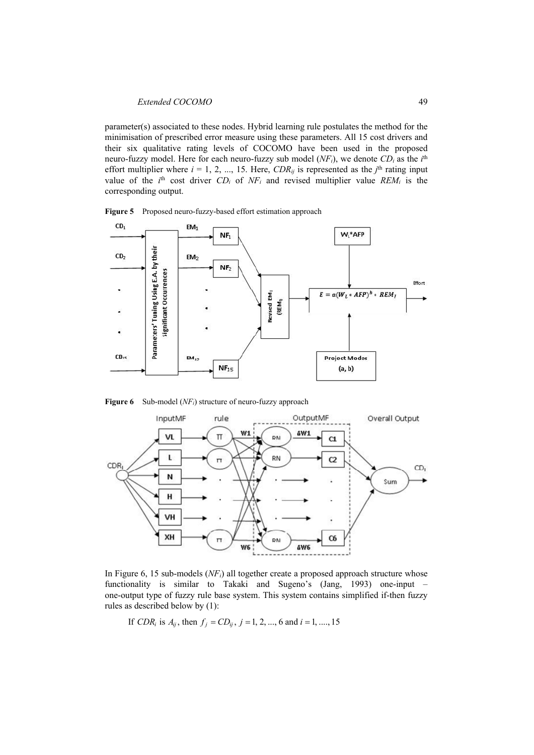parameter(s) associated to these nodes. Hybrid learning rule postulates the method for the minimisation of prescribed error measure using these parameters. All 15 cost drivers and their six qualitative rating levels of COCOMO have been used in the proposed neuro-fuzzy model. Here for each neuro-fuzzy sub model (*NF<sub>i</sub>*), we denote CD<sub>i</sub> as the *i*<sup>th</sup> effort multiplier where  $i = 1, 2, ..., 15$ . Here, *CDR<sub>ij</sub>* is represented as the  $j<sup>th</sup>$  rating input value of the  $i^{\text{th}}$  cost driver  $CD_i$  of  $NF_i$  and revised multiplier value  $REM_i$  is the corresponding output.



**Figure 5** Proposed neuro-fuzzy-based effort estimation approach

**Figure 6** Sub-model (*NFi*) structure of neuro-fuzzy approach



In Figure 6, 15 sub-models (*NFi*) all together create a proposed approach structure whose functionality is similar to Takaki and Sugeno's (Jang, 1993) one-input – one-output type of fuzzy rule base system. This system contains simplified if-then fuzzy rules as described below by (1):

If 
$$
CDR_i
$$
 is  $A_{ij}$ , then  $f_j = CD_{ij}$ ,  $j = 1, 2, ..., 6$  and  $i = 1, ..., 15$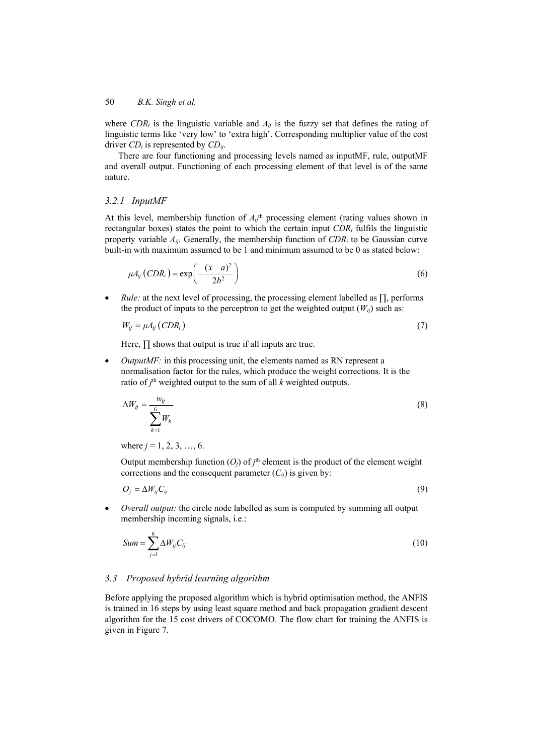where *CDR<sub>i</sub>* is the linguistic variable and  $A_{ij}$  is the fuzzy set that defines the rating of linguistic terms like 'very low' to 'extra high'. Corresponding multiplier value of the cost driver *CDi* is represented by *CDij*.

There are four functioning and processing levels named as inputMF, rule, outputMF and overall output. Functioning of each processing element of that level is of the same nature.

# *3.2.1 InputMF*

At this level, membership function of  $A_{ij}$ <sup>th</sup> processing element (rating values shown in rectangular boxes) states the point to which the certain input  $CDR<sub>i</sub>$  fulfils the linguistic property variable  $A_{ii}$ . Generally, the membership function of  $CDR_i$  to be Gaussian curve built-in with maximum assumed to be 1 and minimum assumed to be 0 as stated below:

$$
\mu A_{ij} (CDR_i) = \exp\left(-\frac{(x-a)^2}{2b^2}\right) \tag{6}
$$

 *Rule:* at the next level of processing, the processing element labelled as ∏, performs the product of inputs to the perceptron to get the weighted output  $(W_{ii})$  such as:

$$
W_{ij} = \mu A_{ij} (CDR_i) \tag{7}
$$

Here,  $\prod$  shows that output is true if all inputs are true.

• *OutputMF:* in this processing unit, the elements named as RN represent a normalisation factor for the rules, which produce the weight corrections. It is the ratio of  $j<sup>th</sup>$  weighted output to the sum of all  $k$  weighted outputs.

$$
\Delta W_{ij} = \frac{w_{ij}}{\sum_{k=1}^{6} W_k}
$$
\n(8)

where  $j = 1, 2, 3, ..., 6$ .

Output membership function  $(O_j)$  of  $j^{\text{th}}$  element is the product of the element weight corrections and the consequent parameter  $(C_{ij})$  is given by:

$$
O_j = \Delta W_{ij} C_{ij} \tag{9}
$$

 *Overall output:* the circle node labelled as sum is computed by summing all output membership incoming signals, i.e.:

$$
Sum = \sum_{j=1}^{6} \Delta W_{ij} C_{ij}
$$
 (10)

## *3.3 Proposed hybrid learning algorithm*

Before applying the proposed algorithm which is hybrid optimisation method, the ANFIS is trained in 16 steps by using least square method and back propagation gradient descent algorithm for the 15 cost drivers of COCOMO. The flow chart for training the ANFIS is given in Figure 7.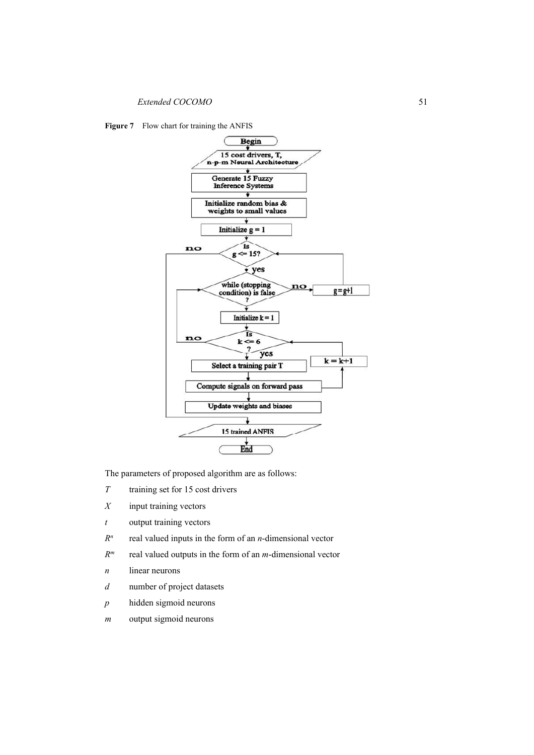**Figure 7** Flow chart for training the ANFIS



The parameters of proposed algorithm are as follows:

- *T* training set for 15 cost drivers
- *X* input training vectors
- *t* output training vectors
- *Rn* real valued inputs in the form of an *n*-dimensional vector
- *Rm* real valued outputs in the form of an *m*-dimensional vector
- *n* linear neurons
- *d* number of project datasets
- *p* hidden sigmoid neurons
- *m* output sigmoid neurons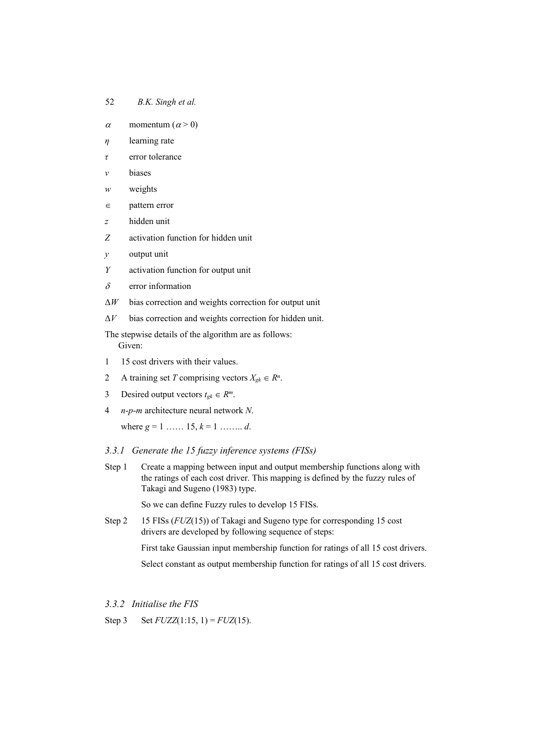#### 52 *B.K. Singh et al.*

- $\alpha$  momentum  $(\alpha > 0)$
- *η* learning rate
- *τ* error tolerance
- *v* biases
- *w* weights
- $\epsilon$  pattern error
- *z* hidden unit
- *Z* activation function for hidden unit
- *y* output unit
- *Y* activation function for output unit
- $\delta$  error information
- Δ*W* bias correction and weights correction for output unit
- Δ*V* bias correction and weights correction for hidden unit.

The stepwise details of the algorithm are as follows: Given:

- 1 15 cost drivers with their values.
- 2 A training set *T* comprising vectors  $X_{g_k} \in \mathbb{R}^n$ .
- 3 Desired output vectors  $t_{gk} \in R^m$ .
- 4 *n*-*p*-*m* architecture neural network *N*.

where  $g = 1$  ……  $15, k = 1$  …… *d*.

## *3.3.1 Generate the 15 fuzzy inference systems (FISs)*

Step 1 Create a mapping between input and output membership functions along with the ratings of each cost driver. This mapping is defined by the fuzzy rules of Takagi and Sugeno (1983) type.

So we can define Fuzzy rules to develop 15 FISs.

Step 2 15 FISs (*FUZ*(15)) of Takagi and Sugeno type for corresponding 15 cost drivers are developed by following sequence of steps:

First take Gaussian input membership function for ratings of all 15 cost drivers.

Select constant as output membership function for ratings of all 15 cost drivers.

## *3.3.2 Initialise the FIS*

Step 3 Set  $FUZZ(1:15, 1) = FUZ(15)$ .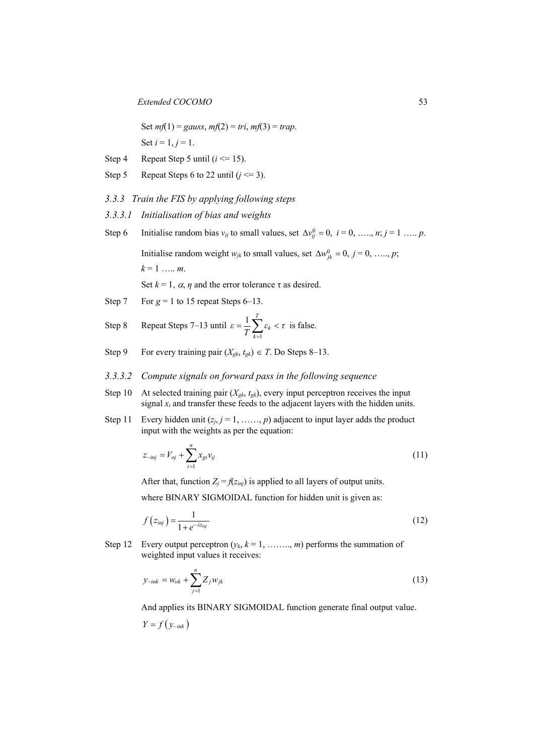Set  $mf(1) = gauss, mf(2) = tri, mf(3) = trap.$ Set  $i = 1, j = 1$ .

- Step 4 Repeat Step 5 until  $(i \le 15)$ .
- Step 5 Repeat Steps 6 to 22 until  $(j \le 3)$ .
- *3.3.3 Train the FIS by applying following steps*
- *3.3.3.1 Initialisation of bias and weights*
- Step 6 Initialise random bias  $v_{ij}$  to small values, set  $\Delta v_{ij}^0 = 0$ ,  $i = 0, \ldots, n; j = 1 \ldots p$ . Initialise random weight  $w_{jk}$  to small values, set  $\Delta w_{ik}^0 = 0, j = 0, \ldots, p;$  $k = 1$  ..... *m*. Set  $k = 1$ ,  $\alpha$ ,  $\eta$  and the error tolerance  $\tau$  as desired.
- Step 7 For  $g = 1$  to 15 repeat Steps 6–13.

Step 8 Repeat Steps 7–13 until 
$$
\varepsilon = \frac{1}{T} \sum_{k=1}^{T} \varepsilon_k < \tau
$$
 is false.

Step 9 For every training pair  $(X_{gk}, t_{gk}) \in T$ . Do Steps 8–13.

## *3.3.3.2 Compute signals on forward pass in the following sequence*

- Step 10 At selected training pair  $(X_{gk}, t_{gk})$ , every input perceptron receives the input signal  $x_i$  and transfer these feeds to the adjacent layers with the hidden units.
- Step 11 Every hidden unit  $(z_j, j = 1, \ldots, p)$  adjacent to input layer adds the product input with the weights as per the equation:

$$
z_{-inj} = V_{oj} + \sum_{i=1}^{n} x_{gi} v_{ij}
$$
 (11)

After that, function  $Z_i = f(z_{ini})$  is applied to all layers of output units.

where BINARY SIGMOIDAL function for hidden unit is given as:

$$
f(z_{\text{inj}}) = \frac{1}{1 + e^{-\lambda z_{\text{inj}}}}
$$
\n(12)

Step 12 Every output perceptron  $(y_k, k = 1, \ldots, m)$  performs the summation of weighted input values it receives:

$$
y_{-ink} = w_{ok} + \sum_{j=1}^{n} Z_j w_{jk}
$$
 (13)

And applies its BINARY SIGMOIDAL function generate final output value.

$$
Y = f(y_{-ink})
$$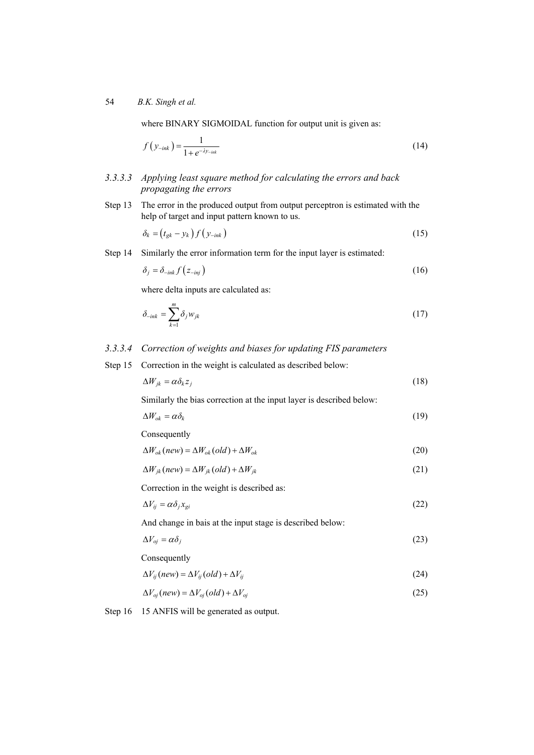where BINARY SIGMOIDAL function for output unit is given as:

$$
f(y_{-ink}) = \frac{1}{1 + e^{-\lambda y_{-ink}}} \tag{14}
$$

- *3.3.3.3 Applying least square method for calculating the errors and back propagating the errors*
- Step 13 The error in the produced output from output perceptron is estimated with the help of target and input pattern known to us.

$$
\delta_k = (t_{gk} - y_k) f(y_{-ink}) \tag{15}
$$

Step 14 Similarly the error information term for the input layer is estimated:

$$
\delta_j = \delta_{\text{link}} f(z_{\text{inj}}) \tag{16}
$$

where delta inputs are calculated as:

$$
\delta_{\text{link}} = \sum_{k=1}^{m} \delta_j w_{jk} \tag{17}
$$

## *3.3.3.4 Correction of weights and biases for updating FIS parameters*

Step 15 Correction in the weight is calculated as described below:

$$
\Delta W_{jk} = \alpha \delta_k z_j \tag{18}
$$

Similarly the bias correction at the input layer is described below:

$$
\Delta W_{ok} = \alpha \delta_k \tag{19}
$$

Consequently

$$
\Delta W_{ok}(new) = \Delta W_{ok}(old) + \Delta W_{ok}
$$
\n(20)

$$
\Delta W_{jk}(new) = \Delta W_{jk}(old) + \Delta W_{jk}
$$
\n(21)

Correction in the weight is described as:

$$
\Delta V_{ij} = \alpha \delta_j x_{gi} \tag{22}
$$

And change in bais at the input stage is described below:

$$
\Delta V_{oj} = \alpha \delta_j \tag{23}
$$

Consequently

$$
\Delta V_{ij}(new) = \Delta V_{ij}(old) + \Delta V_{ij}
$$
\n(24)

$$
\Delta V_{oj}(new) = \Delta V_{oj}(old) + \Delta V_{oj}
$$
\n(25)

Step 16 15 ANFIS will be generated as output.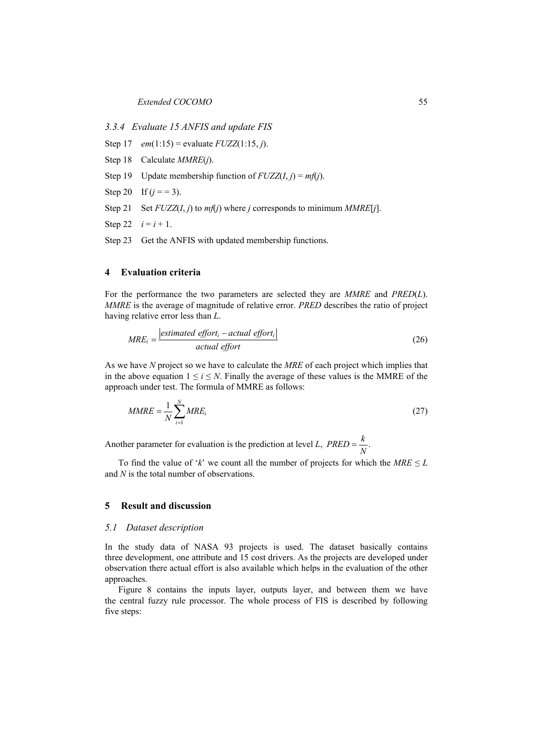*3.3.4 Evaluate 15 ANFIS and update FIS* 

Step 17 *em*(1:15) = evaluate *FUZZ*(1:15, *j*).

- Step 18 Calculate *MMRE*(*j*).
- Step 19 Update membership function of  $FUZZ(I, i) = mfi$ .
- Step 20 If  $(j = 3)$ .
- Step 21 Set  $FUZZ(I, j)$  to  $mf(j)$  where *j* corresponds to minimum  $MMRE[j]$ .
- Step 22  $i = i + 1$ .

Step 23 Get the ANFIS with updated membership functions.

## **4 Evaluation criteria**

For the performance the two parameters are selected they are *MMRE* and *PRED*(*L*). *MMRE* is the average of magnitude of relative error. *PRED* describes the ratio of project having relative error less than *L*.

$$
MRE_i = \frac{|estimated\;effort_i - actual\;effort_i|}{actual\;effort}
$$
\n(26)

As we have *N* project so we have to calculate the *MRE* of each project which implies that in the above equation  $1 \le i \le N$ . Finally the average of these values is the MMRE of the approach under test. The formula of MMRE as follows:

$$
MMRE = \frac{1}{N} \sum_{i=1}^{N} MRE_i
$$
\n(27)

Another parameter for evaluation is the prediction at level *L*,  $PRED = \frac{k}{N}$ .

To find the value of '*k*' we count all the number of projects for which the  $MRE \leq L$ and *N* is the total number of observations.

#### **5 Result and discussion**

#### *5.1 Dataset description*

In the study data of NASA 93 projects is used. The dataset basically contains three development, one attribute and 15 cost drivers. As the projects are developed under observation there actual effort is also available which helps in the evaluation of the other approaches.

Figure 8 contains the inputs layer, outputs layer, and between them we have the central fuzzy rule processor. The whole process of FIS is described by following five steps: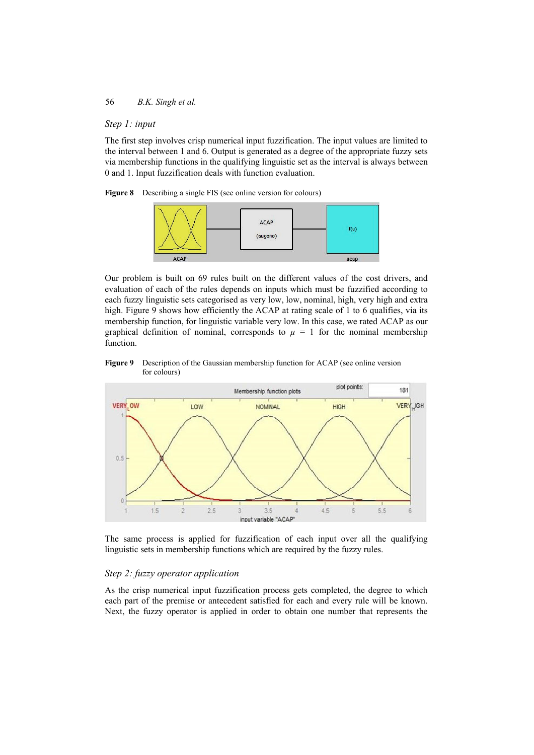# *Step 1: input*

The first step involves crisp numerical input fuzzification. The input values are limited to the interval between 1 and 6. Output is generated as a degree of the appropriate fuzzy sets via membership functions in the qualifying linguistic set as the interval is always between 0 and 1. Input fuzzification deals with function evaluation.

**Figure 8** Describing a single FIS (see online version for colours)



Our problem is built on 69 rules built on the different values of the cost drivers, and evaluation of each of the rules depends on inputs which must be fuzzified according to each fuzzy linguistic sets categorised as very low, low, nominal, high, very high and extra high. Figure 9 shows how efficiently the ACAP at rating scale of 1 to 6 qualifies, via its membership function, for linguistic variable very low. In this case, we rated ACAP as our graphical definition of nominal, corresponds to  $\mu = 1$  for the nominal membership function.

**Figure 9** Description of the Gaussian membership function for ACAP (see online version for colours)



The same process is applied for fuzzification of each input over all the qualifying linguistic sets in membership functions which are required by the fuzzy rules.

# *Step 2: fuzzy operator application*

As the crisp numerical input fuzzification process gets completed, the degree to which each part of the premise or antecedent satisfied for each and every rule will be known. Next, the fuzzy operator is applied in order to obtain one number that represents the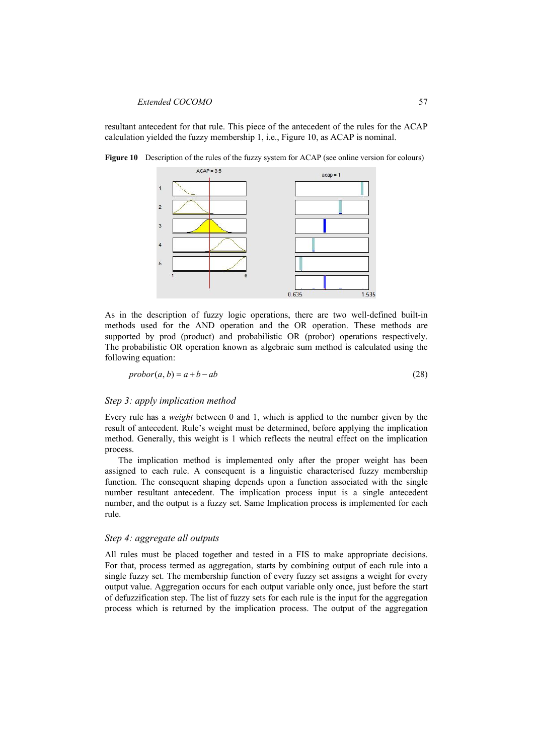resultant antecedent for that rule. This piece of the antecedent of the rules for the ACAP calculation yielded the fuzzy membership 1, i.e., Figure 10, as ACAP is nominal.





As in the description of fuzzy logic operations, there are two well-defined built-in methods used for the AND operation and the OR operation. These methods are supported by prod (product) and probabilistic OR (probor) operations respectively. The probabilistic OR operation known as algebraic sum method is calculated using the following equation:

$$
probor(a, b) = a + b - ab \tag{28}
$$

#### *Step 3: apply implication method*

Every rule has a *weight* between 0 and 1, which is applied to the number given by the result of antecedent. Rule's weight must be determined, before applying the implication method. Generally, this weight is 1 which reflects the neutral effect on the implication process.

The implication method is implemented only after the proper weight has been assigned to each rule. A consequent is a linguistic characterised fuzzy membership function. The consequent shaping depends upon a function associated with the single number resultant antecedent. The implication process input is a single antecedent number, and the output is a fuzzy set. Same Implication process is implemented for each rule.

#### *Step 4: aggregate all outputs*

All rules must be placed together and tested in a FIS to make appropriate decisions. For that, process termed as aggregation, starts by combining output of each rule into a single fuzzy set. The membership function of every fuzzy set assigns a weight for every output value. Aggregation occurs for each output variable only once, just before the start of defuzzification step. The list of fuzzy sets for each rule is the input for the aggregation process which is returned by the implication process. The output of the aggregation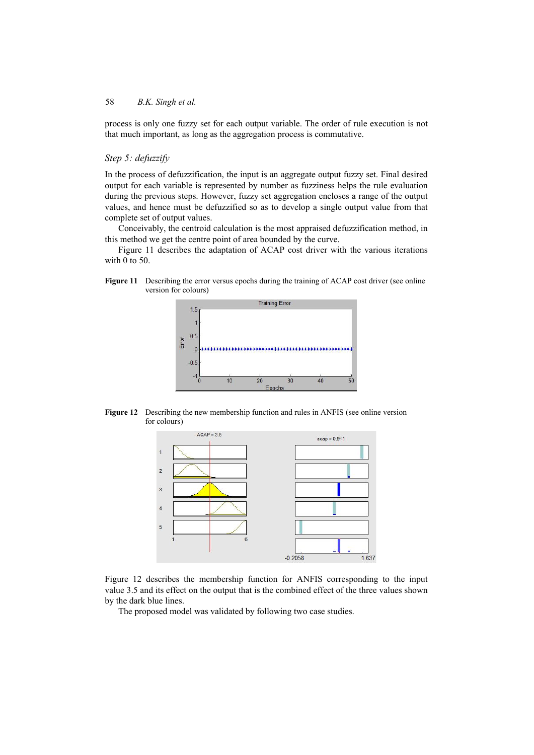process is only one fuzzy set for each output variable. The order of rule execution is not that much important, as long as the aggregation process is commutative.

# *Step 5: defuzzify*

In the process of defuzzification, the input is an aggregate output fuzzy set. Final desired output for each variable is represented by number as fuzziness helps the rule evaluation during the previous steps. However, fuzzy set aggregation encloses a range of the output values, and hence must be defuzzified so as to develop a single output value from that complete set of output values.

Conceivably, the centroid calculation is the most appraised defuzzification method, in this method we get the centre point of area bounded by the curve.

Figure 11 describes the adaptation of ACAP cost driver with the various iterations with 0 to 50.

**Figure 11** Describing the error versus epochs during the training of ACAP cost driver (see online version for colours)



**Figure 12** Describing the new membership function and rules in ANFIS (see online version for colours)



Figure 12 describes the membership function for ANFIS corresponding to the input value 3.5 and its effect on the output that is the combined effect of the three values shown by the dark blue lines.

The proposed model was validated by following two case studies.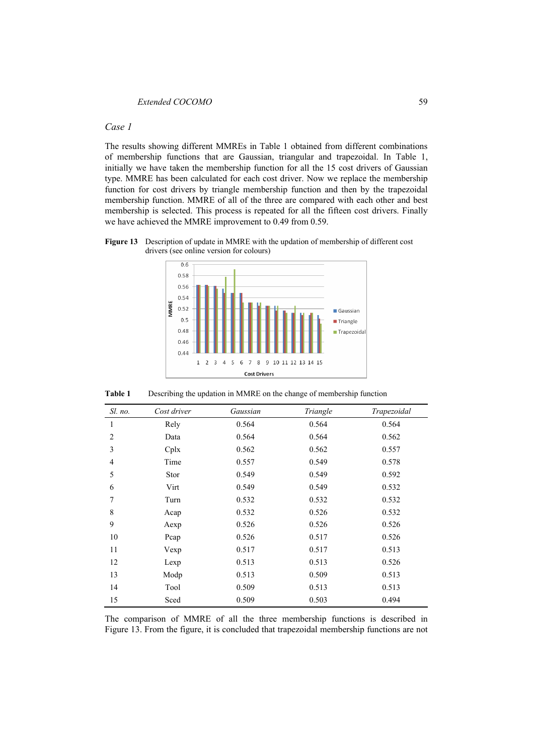#### *Case 1*

The results showing different MMREs in Table 1 obtained from different combinations of membership functions that are Gaussian, triangular and trapezoidal. In Table 1, initially we have taken the membership function for all the 15 cost drivers of Gaussian type. MMRE has been calculated for each cost driver. Now we replace the membership function for cost drivers by triangle membership function and then by the trapezoidal membership function. MMRE of all of the three are compared with each other and best membership is selected. This process is repeated for all the fifteen cost drivers. Finally we have achieved the MMRE improvement to 0.49 from 0.59.

**Figure 13** Description of update in MMRE with the updation of membership of different cost drivers (see online version for colours)



**Table 1** Describing the updation in MMRE on the change of membership function

| Sl. no.        | Cost driver | Gaussian | Triangle | Trapezoidal |
|----------------|-------------|----------|----------|-------------|
| 1              | Rely        | 0.564    | 0.564    | 0.564       |
| $\overline{2}$ | Data        | 0.564    | 0.564    | 0.562       |
| 3              | $C$ plx     | 0.562    | 0.562    | 0.557       |
| 4              | Time        | 0.557    | 0.549    | 0.578       |
| 5              | Stor        | 0.549    | 0.549    | 0.592       |
| 6              | Virt        | 0.549    | 0.549    | 0.532       |
| 7              | Turn        | 0.532    | 0.532    | 0.532       |
| 8              | Acap        | 0.532    | 0.526    | 0.532       |
| 9              | Aexp        | 0.526    | 0.526    | 0.526       |
| 10             | Pcap        | 0.526    | 0.517    | 0.526       |
| 11             | Vexp        | 0.517    | 0.517    | 0.513       |
| 12             | Lexp        | 0.513    | 0.513    | 0.526       |
| 13             | Modp        | 0.513    | 0.509    | 0.513       |
| 14             | Tool        | 0.509    | 0.513    | 0.513       |
| 15             | Sced        | 0.509    | 0.503    | 0.494       |

The comparison of MMRE of all the three membership functions is described in Figure 13. From the figure, it is concluded that trapezoidal membership functions are not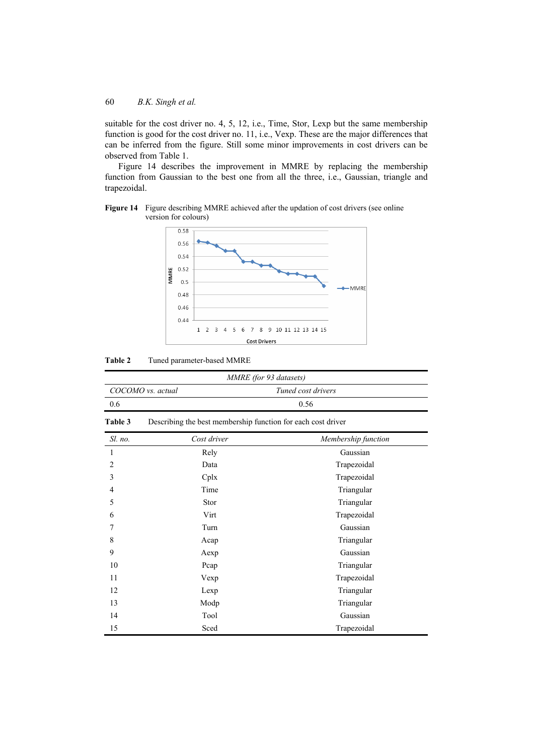suitable for the cost driver no. 4, 5, 12, i.e., Time, Stor, Lexp but the same membership function is good for the cost driver no. 11, i.e., Vexp. These are the major differences that can be inferred from the figure. Still some minor improvements in cost drivers can be observed from Table 1.

Figure 14 describes the improvement in MMRE by replacing the membership function from Gaussian to the best one from all the three, i.e., Gaussian, triangle and trapezoidal.



**Figure 14** Figure describing MMRE achieved after the updation of cost drivers (see online version for colours)

**Table 2** Tuned parameter-based MMRE

| MMRE (for 93 datasets) |                    |  |  |
|------------------------|--------------------|--|--|
| COCOMO vs. actual      | Tuned cost drivers |  |  |
| 0.6                    | 0.56               |  |  |
|                        |                    |  |  |

**Table 3** Describing the best membership function for each cost driver

| Sl. no.        | Cost driver | Membership function |
|----------------|-------------|---------------------|
| 1              | Rely        | Gaussian            |
| $\overline{2}$ | Data        | Trapezoidal         |
| 3              | Cplx        | Trapezoidal         |
| 4              | Time        | Triangular          |
| 5              | Stor        | Triangular          |
| 6              | Virt        | Trapezoidal         |
| 7              | Turn        | Gaussian            |
| 8              | Acap        | Triangular          |
| 9              | Aexp        | Gaussian            |
| 10             | Pcap        | Triangular          |
| 11             | Vexp        | Trapezoidal         |
| 12             | Lexp        | Triangular          |
| 13             | Modp        | Triangular          |
| 14             | Tool        | Gaussian            |
| 15             | Sced        | Trapezoidal         |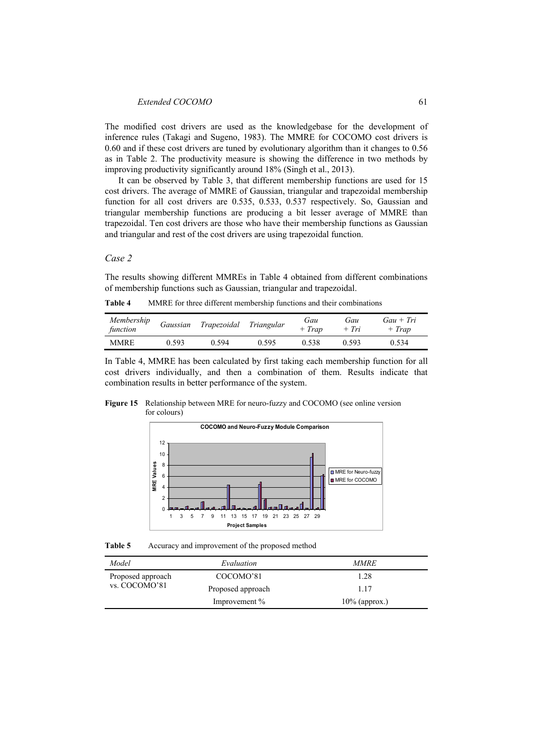The modified cost drivers are used as the knowledgebase for the development of inference rules (Takagi and Sugeno, 1983). The MMRE for COCOMO cost drivers is 0.60 and if these cost drivers are tuned by evolutionary algorithm than it changes to 0.56 as in Table 2. The productivity measure is showing the difference in two methods by improving productivity significantly around 18% (Singh et al., 2013).

It can be observed by Table 3, that different membership functions are used for 15 cost drivers. The average of MMRE of Gaussian, triangular and trapezoidal membership function for all cost drivers are 0.535, 0.533, 0.537 respectively. So, Gaussian and triangular membership functions are producing a bit lesser average of MMRE than trapezoidal. Ten cost drivers are those who have their membership functions as Gaussian and triangular and rest of the cost drivers are using trapezoidal function.

## *Case 2*

The results showing different MMREs in Table 4 obtained from different combinations of membership functions such as Gaussian, triangular and trapezoidal.

**Table 4** MMRE for three different membership functions and their combinations

| Membership<br>function | Gaussian | Trapezoidal | Triangular | Gau<br>$+$ Trap | Gau<br>$+$ Tri | $Gau + Tri$<br>$+$ Trap |
|------------------------|----------|-------------|------------|-----------------|----------------|-------------------------|
| <b>MMRE</b>            | 0.593    | 0.594       | 0.595      | 0.538           | 0.593          | 0.534                   |

In Table 4, MMRE has been calculated by first taking each membership function for all cost drivers individually, and then a combination of them. Results indicate that combination results in better performance of the system.

**Figure 15** Relationship between MRE for neuro-fuzzy and COCOMO (see online version for colours)



**Table 5** Accuracy and improvement of the proposed method

| Model             | Evaluation        | <i>MMRE</i>      |
|-------------------|-------------------|------------------|
| Proposed approach | COCOMO'81         | 1.28             |
| vs. COCOMO'81     | Proposed approach | 1.17             |
|                   | Improvement %     | $10\%$ (approx.) |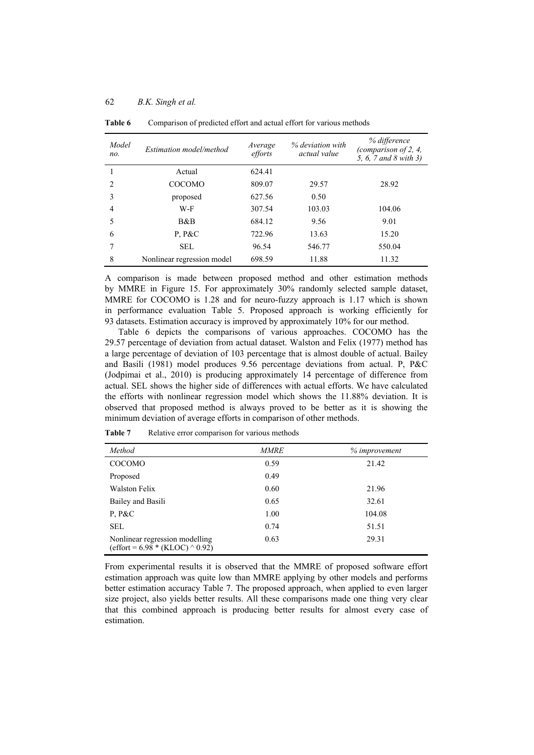| Model<br>no.  | Estimation model/method    | Average<br>efforts | % deviation with<br>actual value | % difference<br>(comparison of 2, 4,<br>5, 6, 7 and 8 with 3) |
|---------------|----------------------------|--------------------|----------------------------------|---------------------------------------------------------------|
|               | Actual                     | 624.41             |                                  |                                                               |
| $\mathcal{L}$ | <b>COCOMO</b>              | 809.07             | 29.57                            | 28.92                                                         |
| 3             | proposed                   | 627.56             | 0.50                             |                                                               |
| 4             | W-F                        | 307.54             | 103.03                           | 104.06                                                        |
| 5             | B&B                        | 684.12             | 9.56                             | 9.01                                                          |
| 6             | P, P&C                     | 722.96             | 13.63                            | 15.20                                                         |
|               | <b>SEL</b>                 | 96.54              | 546.77                           | 550.04                                                        |
| 8             | Nonlinear regression model | 698.59             | 11.88                            | 11.32                                                         |

**Table 6** Comparison of predicted effort and actual effort for various methods

A comparison is made between proposed method and other estimation methods by MMRE in Figure 15. For approximately 30% randomly selected sample dataset, MMRE for COCOMO is 1.28 and for neuro-fuzzy approach is 1.17 which is shown in performance evaluation Table 5. Proposed approach is working efficiently for 93 datasets. Estimation accuracy is improved by approximately 10% for our method.

Table 6 depicts the comparisons of various approaches. COCOMO has the 29.57 percentage of deviation from actual dataset. Walston and Felix (1977) method has a large percentage of deviation of 103 percentage that is almost double of actual. Bailey and Basili (1981) model produces 9.56 percentage deviations from actual. P, P&C (Jodpimai et al., 2010) is producing approximately 14 percentage of difference from actual. SEL shows the higher side of differences with actual efforts. We have calculated the efforts with nonlinear regression model which shows the 11.88% deviation. It is observed that proposed method is always proved to be better as it is showing the minimum deviation of average efforts in comparison of other methods.

| Method                                                                                 | <b>MMRE</b> | % improvement |
|----------------------------------------------------------------------------------------|-------------|---------------|
| <b>COCOMO</b>                                                                          | 0.59        | 21.42         |
| Proposed                                                                               | 0.49        |               |
| Walston Felix                                                                          | 0.60        | 21.96         |
| Bailey and Basili                                                                      | 0.65        | 32.61         |
| P, P&C                                                                                 | 1.00        | 104.08        |
| <b>SEL</b>                                                                             | 0.74        | 51.51         |
| Nonlinear regression modelling<br>$\text{(effort = } 6.98 * (\text{KLOC}) \land 0.92)$ | 0.63        | 29.31         |

Table 7 Relative error comparison for various methods

From experimental results it is observed that the MMRE of proposed software effort estimation approach was quite low than MMRE applying by other models and performs better estimation accuracy Table 7. The proposed approach, when applied to even larger size project, also yields better results. All these comparisons made one thing very clear that this combined approach is producing better results for almost every case of estimation.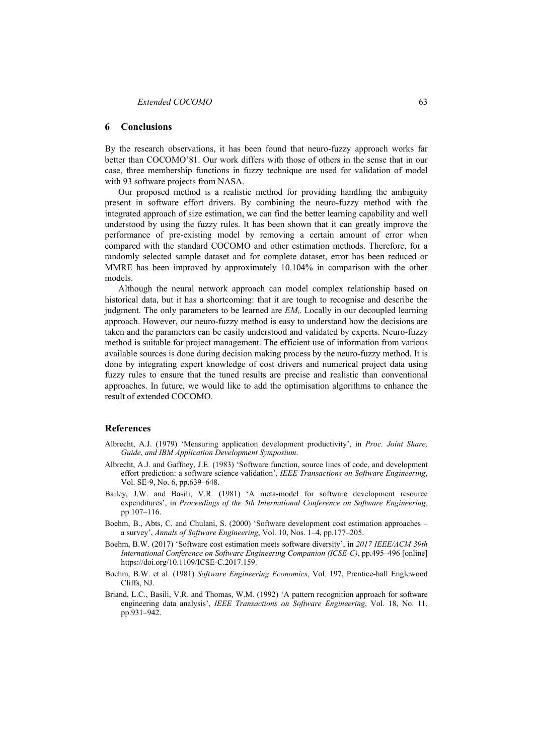## **6 Conclusions**

By the research observations, it has been found that neuro-fuzzy approach works far better than COCOMO'81. Our work differs with those of others in the sense that in our case, three membership functions in fuzzy technique are used for validation of model with 93 software projects from NASA.

Our proposed method is a realistic method for providing handling the ambiguity present in software effort drivers. By combining the neuro-fuzzy method with the integrated approach of size estimation, we can find the better learning capability and well understood by using the fuzzy rules. It has been shown that it can greatly improve the performance of pre-existing model by removing a certain amount of error when compared with the standard COCOMO and other estimation methods. Therefore, for a randomly selected sample dataset and for complete dataset, error has been reduced or MMRE has been improved by approximately 10.104% in comparison with the other models.

Although the neural network approach can model complex relationship based on historical data, but it has a shortcoming: that it are tough to recognise and describe the judgment. The only parameters to be learned are *EMi*. Locally in our decoupled learning approach. However, our neuro-fuzzy method is easy to understand how the decisions are taken and the parameters can be easily understood and validated by experts. Neuro-fuzzy method is suitable for project management. The efficient use of information from various available sources is done during decision making process by the neuro-fuzzy method. It is done by integrating expert knowledge of cost drivers and numerical project data using fuzzy rules to ensure that the tuned results are precise and realistic than conventional approaches. In future, we would like to add the optimisation algorithms to enhance the result of extended COCOMO.

#### **References**

- Albrecht, A.J. (1979) 'Measuring application development productivity', in *Proc. Joint Share, Guide, and IBM Application Development Symposium*.
- Albrecht, A.J. and Gaffney, J.E. (1983) 'Software function, source lines of code, and development effort prediction: a software science validation', *IEEE Transactions on Software Engineering*, Vol. SE-9, No. 6, pp.639–648.
- Bailey, J.W. and Basili, V.R. (1981) 'A meta-model for software development resource expenditures', in *Proceedings of the 5th International Conference on Software Engineering*, pp.107–116.
- Boehm, B., Abts, C. and Chulani, S. (2000) 'Software development cost estimation approaches a survey', *Annals of Software Engineering*, Vol. 10, Nos. 1–4, pp.177–205.
- Boehm, B.W. (2017) 'Software cost estimation meets software diversity', in *2017 IEEE/ACM 39th International Conference on Software Engineering Companion (ICSE-C)*, pp.495–496 [online] https://doi.org/10.1109/ICSE-C.2017.159.
- Boehm, B.W. et al. (1981) *Software Engineering Economics*, Vol. 197, Prentice-hall Englewood Cliffs, NJ.
- Briand, L.C., Basili, V.R. and Thomas, W.M. (1992) 'A pattern recognition approach for software engineering data analysis', *IEEE Transactions on Software Engineering*, Vol. 18, No. 11, pp.931–942.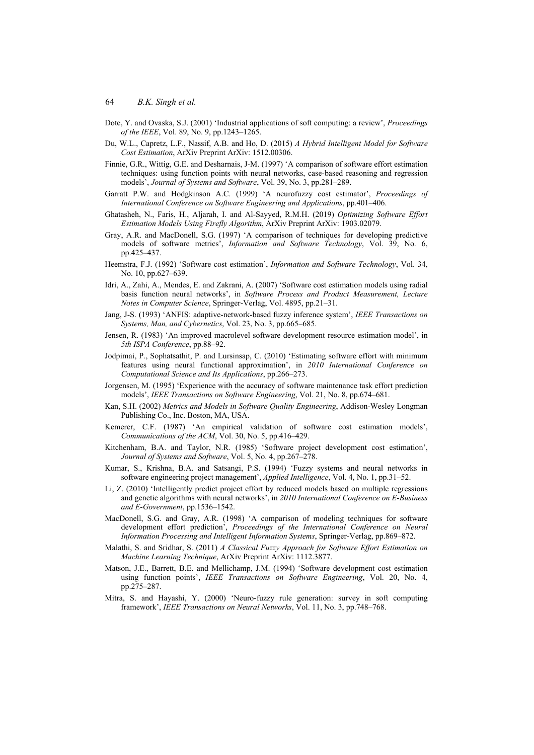- Dote, Y. and Ovaska, S.J. (2001) 'Industrial applications of soft computing: a review', *Proceedings of the IEEE*, Vol. 89, No. 9, pp.1243–1265.
- Du, W.L., Capretz, L.F., Nassif, A.B. and Ho, D. (2015) *A Hybrid Intelligent Model for Software Cost Estimation*, ArXiv Preprint ArXiv: 1512.00306.
- Finnie, G.R., Wittig, G.E. and Desharnais, J-M. (1997) 'A comparison of software effort estimation techniques: using function points with neural networks, case-based reasoning and regression models', *Journal of Systems and Software*, Vol. 39, No. 3, pp.281–289.
- Garratt P.W. and Hodgkinson A.C. (1999) 'A neurofuzzy cost estimator', *Proceedings of International Conference on Software Engineering and Applications*, pp.401–406.
- Ghatasheh, N., Faris, H., Aljarah, I. and Al-Sayyed, R.M.H. (2019) *Optimizing Software Effort Estimation Models Using Firefly Algorithm*, ArXiv Preprint ArXiv: 1903.02079.
- Gray, A.R. and MacDonell, S.G. (1997) 'A comparison of techniques for developing predictive models of software metrics', *Information and Software Technology*, Vol. 39, No. 6, pp.425–437.
- Heemstra, F.J. (1992) 'Software cost estimation', *Information and Software Technology*, Vol. 34, No. 10, pp.627–639.
- Idri, A., Zahi, A., Mendes, E. and Zakrani, A. (2007) 'Software cost estimation models using radial basis function neural networks', in *Software Process and Product Measurement, Lecture Notes in Computer Science*, Springer-Verlag, Vol. 4895, pp.21–31.
- Jang, J-S. (1993) 'ANFIS: adaptive-network-based fuzzy inference system', *IEEE Transactions on Systems, Man, and Cybernetics*, Vol. 23, No. 3, pp.665–685.
- Jensen, R. (1983) 'An improved macrolevel software development resource estimation model', in *5th ISPA Conference*, pp.88–92.
- Jodpimai, P., Sophatsathit, P. and Lursinsap, C. (2010) 'Estimating software effort with minimum features using neural functional approximation', in *2010 International Conference on Computational Science and Its Applications*, pp.266–273.
- Jorgensen, M. (1995) 'Experience with the accuracy of software maintenance task effort prediction models', *IEEE Transactions on Software Engineering*, Vol. 21, No. 8, pp.674–681.
- Kan, S.H. (2002) *Metrics and Models in Software Quality Engineering*, Addison-Wesley Longman Publishing Co., Inc. Boston, MA, USA.
- Kemerer, C.F. (1987) 'An empirical validation of software cost estimation models', *Communications of the ACM*, Vol. 30, No. 5, pp.416–429.
- Kitchenham, B.A. and Taylor, N.R. (1985) 'Software project development cost estimation', *Journal of Systems and Software*, Vol. 5, No. 4, pp.267–278.
- Kumar, S., Krishna, B.A. and Satsangi, P.S. (1994) 'Fuzzy systems and neural networks in software engineering project management', *Applied Intelligence*, Vol. 4, No. 1, pp.31–52.
- Li, Z. (2010) 'Intelligently predict project effort by reduced models based on multiple regressions and genetic algorithms with neural networks', in *2010 International Conference on E-Business and E-Government*, pp.1536–1542.
- MacDonell, S.G. and Gray, A.R. (1998) 'A comparison of modeling techniques for software development effort prediction', *Proceedings of the International Conference on Neural Information Processing and Intelligent Information Systems*, Springer-Verlag, pp.869–872.
- Malathi, S. and Sridhar, S. (2011) *A Classical Fuzzy Approach for Software Effort Estimation on Machine Learning Technique*, ArXiv Preprint ArXiv: 1112.3877.
- Matson, J.E., Barrett, B.E. and Mellichamp, J.M. (1994) 'Software development cost estimation using function points', *IEEE Transactions on Software Engineering*, Vol. 20, No. 4, pp.275–287.
- Mitra, S. and Hayashi, Y. (2000) 'Neuro-fuzzy rule generation: survey in soft computing framework', *IEEE Transactions on Neural Networks*, Vol. 11, No. 3, pp.748–768.